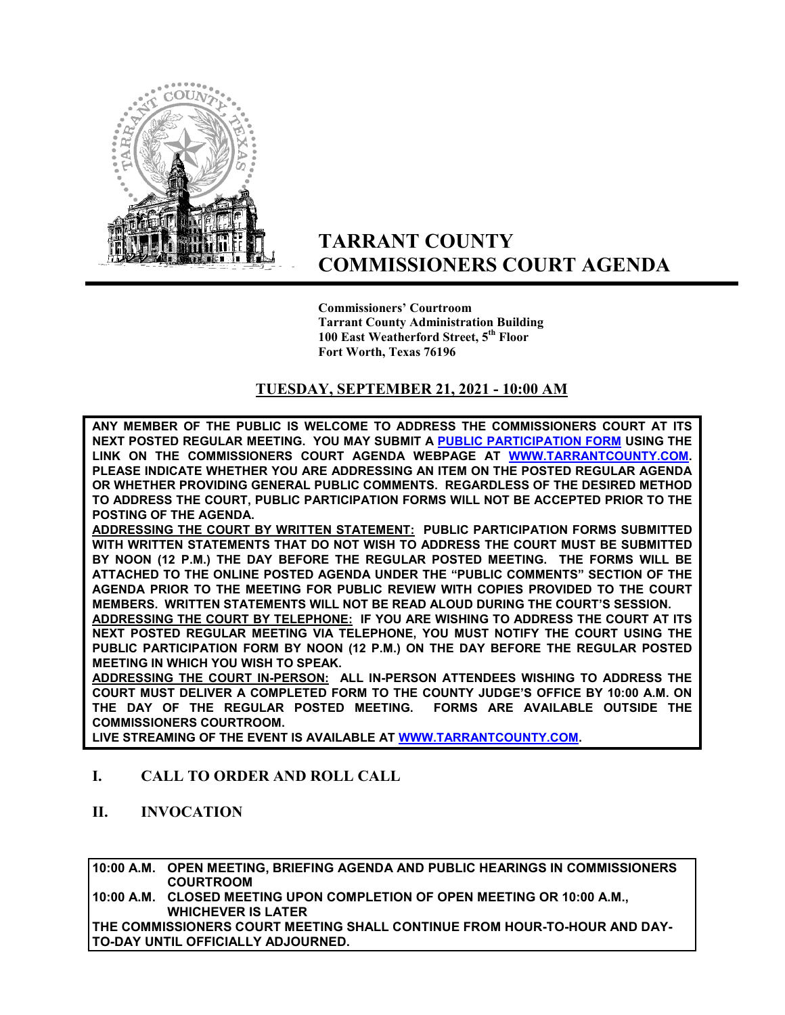

# **TARRANT COUNTY COMMISSIONERS COURT AGENDA**

**Commissioners' Courtroom Tarrant County Administration Building 100 East Weatherford Street, 5th Floor Fort Worth, Texas 76196**

### **TUESDAY, SEPTEMBER 21, 2021 - 10:00 AM**

**ANY MEMBER OF THE PUBLIC IS WELCOME TO ADDRESS THE COMMISSIONERS COURT AT ITS NEXT POSTED REGULAR MEETING. YOU MAY SUBMIT A [PUBLIC PARTICIPATION FORM](https://tarrantcounty.na2.documents.adobe.com/public/esignWidget?wid=CBFCIBAA3AAABLblqZhCK1c69fO2NKkvtSrdzlVmA9KtB8oQzGyq6x4PvYBRbgzAxU5a8_HdYBGehP2t_EAc) USING THE LINK ON THE COMMISSIONERS COURT AGENDA WEBPAGE AT [WWW.TARRANTCOUNTY.COM.](http://www.tarrantcounty.com/) PLEASE INDICATE WHETHER YOU ARE ADDRESSING AN ITEM ON THE POSTED REGULAR AGENDA OR WHETHER PROVIDING GENERAL PUBLIC COMMENTS. REGARDLESS OF THE DESIRED METHOD TO ADDRESS THE COURT, PUBLIC PARTICIPATION FORMS WILL NOT BE ACCEPTED PRIOR TO THE POSTING OF THE AGENDA.** 

**ADDRESSING THE COURT BY WRITTEN STATEMENT: PUBLIC PARTICIPATION FORMS SUBMITTED WITH WRITTEN STATEMENTS THAT DO NOT WISH TO ADDRESS THE COURT MUST BE SUBMITTED BY NOON (12 P.M.) THE DAY BEFORE THE REGULAR POSTED MEETING. THE FORMS WILL BE ATTACHED TO THE ONLINE POSTED AGENDA UNDER THE "PUBLIC COMMENTS" SECTION OF THE AGENDA PRIOR TO THE MEETING FOR PUBLIC REVIEW WITH COPIES PROVIDED TO THE COURT MEMBERS. WRITTEN STATEMENTS WILL NOT BE READ ALOUD DURING THE COURT'S SESSION.** 

**ADDRESSING THE COURT BY TELEPHONE: IF YOU ARE WISHING TO ADDRESS THE COURT AT ITS NEXT POSTED REGULAR MEETING VIA TELEPHONE, YOU MUST NOTIFY THE COURT USING THE PUBLIC PARTICIPATION FORM BY NOON (12 P.M.) ON THE DAY BEFORE THE REGULAR POSTED MEETING IN WHICH YOU WISH TO SPEAK.** 

**ADDRESSING THE COURT IN-PERSON: ALL IN-PERSON ATTENDEES WISHING TO ADDRESS THE COURT MUST DELIVER A COMPLETED FORM TO THE COUNTY JUDGE'S OFFICE BY 10:00 A.M. ON THE DAY OF THE REGULAR POSTED MEETING. FORMS ARE AVAILABLE OUTSIDE THE COMMISSIONERS COURTROOM.** 

**LIVE STREAMING OF THE EVENT IS AVAILABLE AT W[WW.TARRANTCOUNTY.COM.](http://www.tarrantcounty.com/)** 

### **I. CALL TO ORDER AND ROLL CALL**

**II. INVOCATION** 

**10:00 A.M. OPEN MEETING, BRIEFING AGENDA AND PUBLIC HEARINGS IN COMMISSIONERS COURTROOM** 

**10:00 A.M. CLOSED MEETING UPON COMPLETION OF OPEN MEETING OR 10:00 A.M., WHICHEVER IS LATER** 

**THE COMMISSIONERS COURT MEETING SHALL CONTINUE FROM HOUR-TO-HOUR AND DAY-TO-DAY UNTIL OFFICIALLY ADJOURNED.**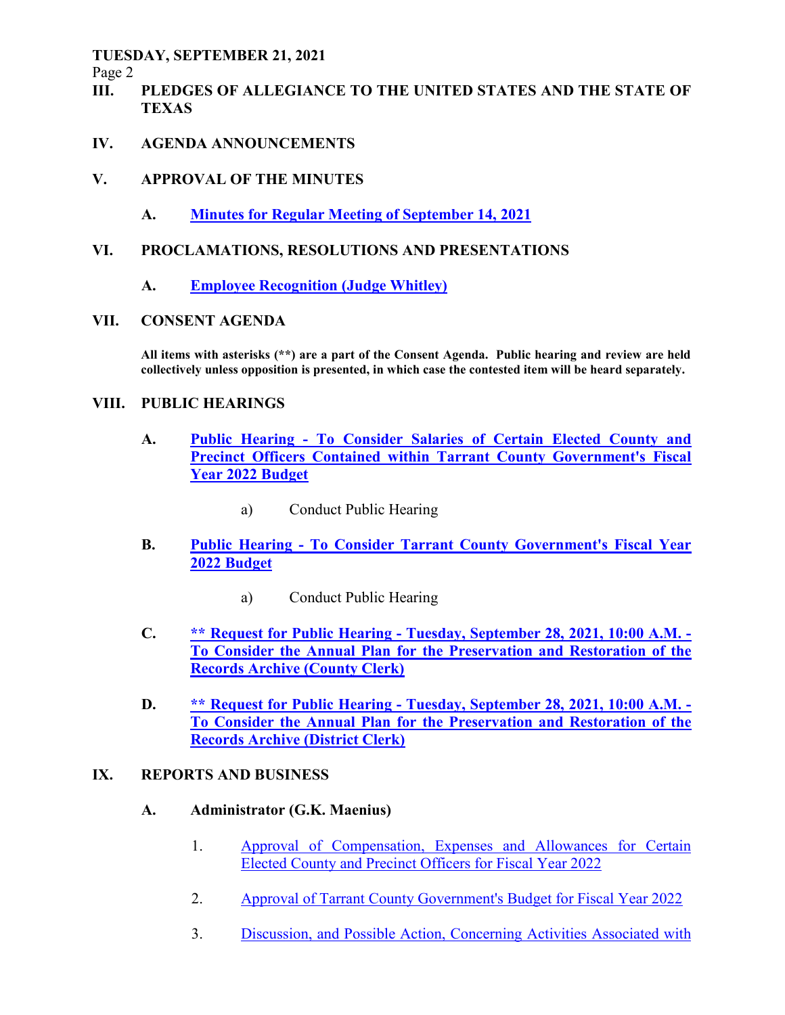Page 2

- **III. PLEDGES OF ALLEGIANCE TO THE UNITED STATES AND THE STATE OF TEXAS**
- **IV. AGENDA ANNOUNCEMENTS**
- **V. APPROVAL OF THE MINUTES** 
	- **A. Minutes for Regular Meeting of September 14, 2021**

### **VI. PROCLAMATIONS, RESOLUTIONS AND PRESENTATIONS**

 **A. Employee Recognition (Judge Whitley)**

### **VII. CONSENT AGENDA**

**All items with asterisks (\*\*) are a part of the Consent Agenda. Public hearing and review are held collectively unless opposition is presented, in which case the contested item will be heard separately.** 

#### **VIII. PUBLIC HEARINGS**

- **A. Public Hearing To Consider Salaries of Certain Elected County and Precinct Officers Contained within Tarrant County Government's Fiscal Year 2022 Budget**
	- a) Conduct Public Hearing
- **B. Public Hearing To Consider Tarrant County Government's Fiscal Year 2022 Budget**
	- a) Conduct Public Hearing
- **C. \*\* Request for Public Hearing Tuesday, September 28, 2021, 10:00 A.M. To Consider the Annual Plan for the Preservation and Restoration of the Records Archive (County Clerk)**
- **D. \*\* Request for Public Hearing Tuesday, September 28, 2021, 10:00 A.M. To Consider the Annual Plan for the Preservation and Restoration of the Records Archive (District Clerk)**

#### **IX. REPORTS AND BUSINESS**

#### **A. Administrator (G.K. Maenius)**

- 1. Approval of Compensation, Expenses and Allowances for Certain Elected County and Precinct Officers for Fiscal Year 2022
- 2. Approval of Tarrant County Government's Budget for Fiscal Year 2022
- 3. Discussion, and Possible Action, Concerning Activities Associated with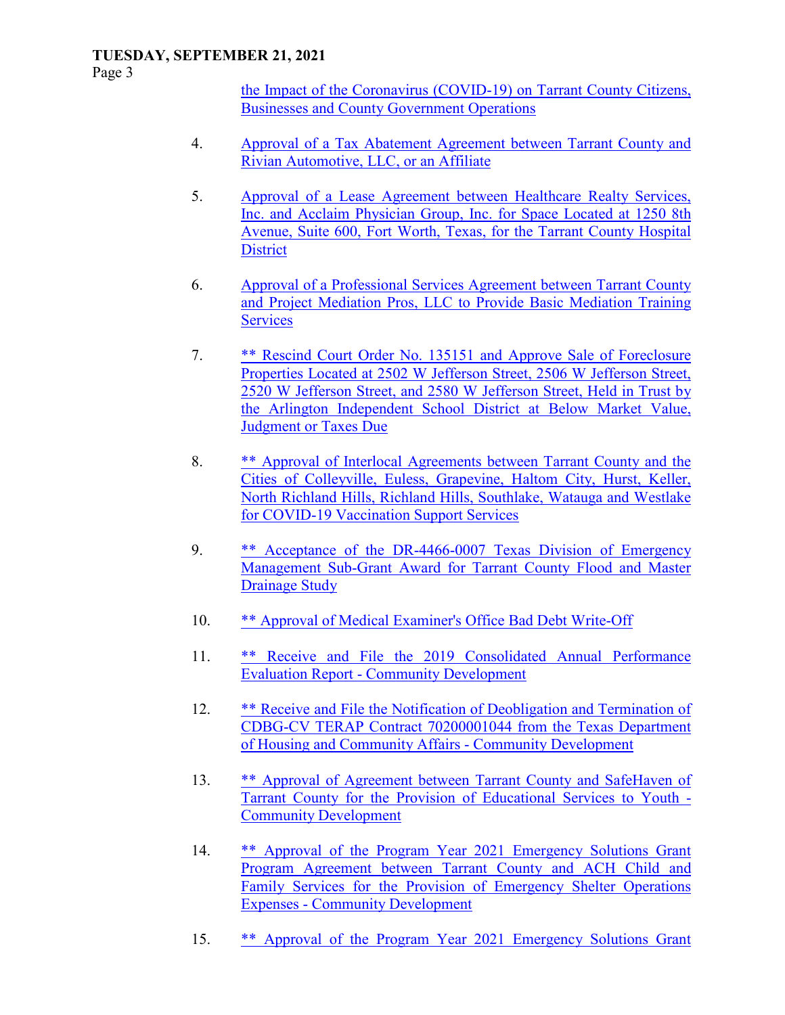Page 3

the Impact of the Coronavirus (COVID-19) on Tarrant County Citizens, Businesses and County Government Operations

- 4. Approval of a Tax Abatement Agreement between Tarrant County and Rivian Automotive, LLC, or an Affiliate
- 5. Approval of a Lease Agreement between Healthcare Realty Services, Inc. and Acclaim Physician Group, Inc. for Space Located at 1250 8th Avenue, Suite 600, Fort Worth, Texas, for the Tarrant County Hospital **District**
- 6. Approval of a Professional Services Agreement between Tarrant County and Project Mediation Pros, LLC to Provide Basic Mediation Training **Services**
- 7. \*\* Rescind Court Order No. 135151 and Approve Sale of Foreclosure Properties Located at 2502 W Jefferson Street, 2506 W Jefferson Street, 2520 W Jefferson Street, and 2580 W Jefferson Street, Held in Trust by the Arlington Independent School District at Below Market Value, Judgment or Taxes Due
- 8. \*\* Approval of Interlocal Agreements between Tarrant County and the Cities of Colleyville, Euless, Grapevine, Haltom City, Hurst, Keller, North Richland Hills, Richland Hills, Southlake, Watauga and Westlake for COVID-19 Vaccination Support Services
- 9. \*\* Acceptance of the DR-4466-0007 Texas Division of Emergency Management Sub-Grant Award for Tarrant County Flood and Master Drainage Study
- 10. \*\* Approval of Medical Examiner's Office Bad Debt Write-Off
- 11. \*\* Receive and File the 2019 Consolidated Annual Performance Evaluation Report - Community Development
- 12. \*\* Receive and File the Notification of Deobligation and Termination of CDBG-CV TERAP Contract 70200001044 from the Texas Department of Housing and Community Affairs - Community Development
- 13. \*\* Approval of Agreement between Tarrant County and SafeHaven of Tarrant County for the Provision of Educational Services to Youth - Community Development
- 14. \*\* Approval of the Program Year 2021 Emergency Solutions Grant Program Agreement between Tarrant County and ACH Child and Family Services for the Provision of Emergency Shelter Operations Expenses - Community Development
- 15. \*\* Approval of the Program Year 2021 Emergency Solutions Grant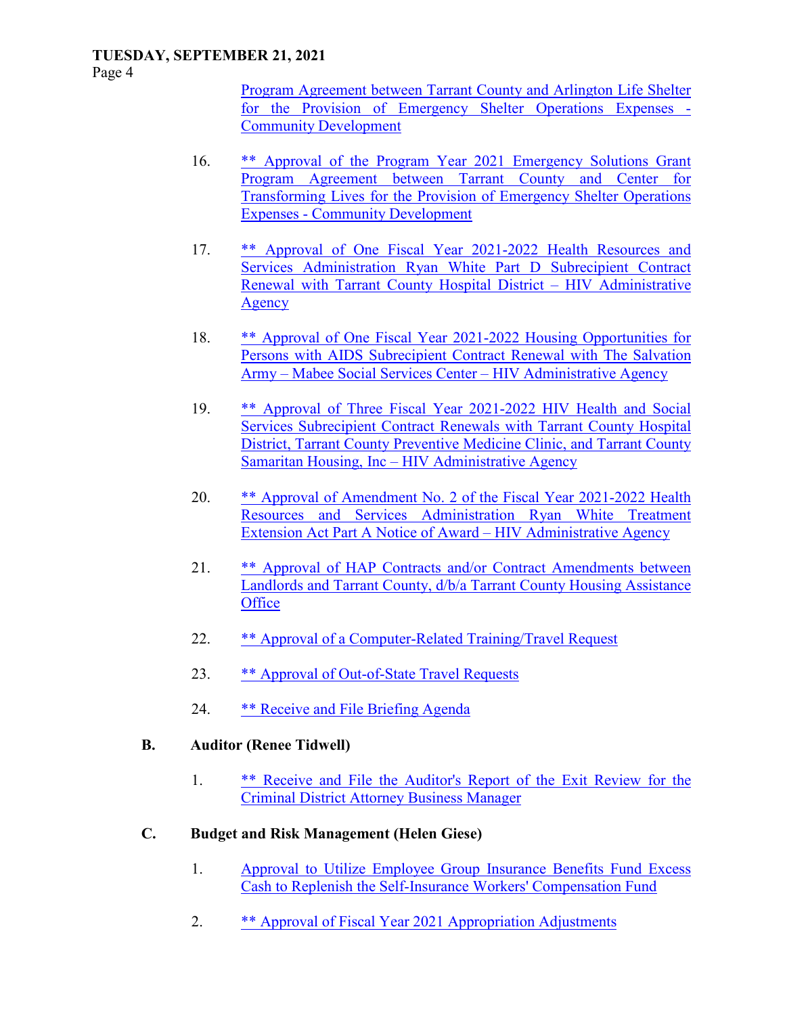Page 4

Program Agreement between Tarrant County and Arlington Life Shelter for the Provision of Emergency Shelter Operations Expenses - Community Development

- 16. \*\* Approval of the Program Year 2021 Emergency Solutions Grant Program Agreement between Tarrant County and Center for Transforming Lives for the Provision of Emergency Shelter Operations Expenses - Community Development
- 17. \*\* Approval of One Fiscal Year 2021-2022 Health Resources and Services Administration Ryan White Part D Subrecipient Contract Renewal with Tarrant County Hospital District – HIV Administrative **Agency**
- 18. \*\* Approval of One Fiscal Year 2021-2022 Housing Opportunities for Persons with AIDS Subrecipient Contract Renewal with The Salvation Army – Mabee Social Services Center – HIV Administrative Agency
- 19. \*\* Approval of Three Fiscal Year 2021-2022 HIV Health and Social Services Subrecipient Contract Renewals with Tarrant County Hospital District, Tarrant County Preventive Medicine Clinic, and Tarrant County Samaritan Housing, Inc – HIV Administrative Agency
- 20. \*\* Approval of Amendment No. 2 of the Fiscal Year 2021-2022 Health Resources and Services Administration Ryan White Treatment Extension Act Part A Notice of Award – HIV Administrative Agency
- 21. \*\* Approval of HAP Contracts and/or Contract Amendments between Landlords and Tarrant County, d/b/a Tarrant County Housing Assistance **Office**
- 22. \*\* Approval of a Computer-Related Training/Travel Request
- 23. \*\* Approval of Out-of-State Travel Requests
- 24. \*\* Receive and File Briefing Agenda
- **B. Auditor (Renee Tidwell)** 
	- 1. \*\* Receive and File the Auditor's Report of the Exit Review for the Criminal District Attorney Business Manager
- **C. Budget and Risk Management (Helen Giese)** 
	- 1. Approval to Utilize Employee Group Insurance Benefits Fund Excess Cash to Replenish the Self-Insurance Workers' Compensation Fund
	- 2. \*\* Approval of Fiscal Year 2021 Appropriation Adjustments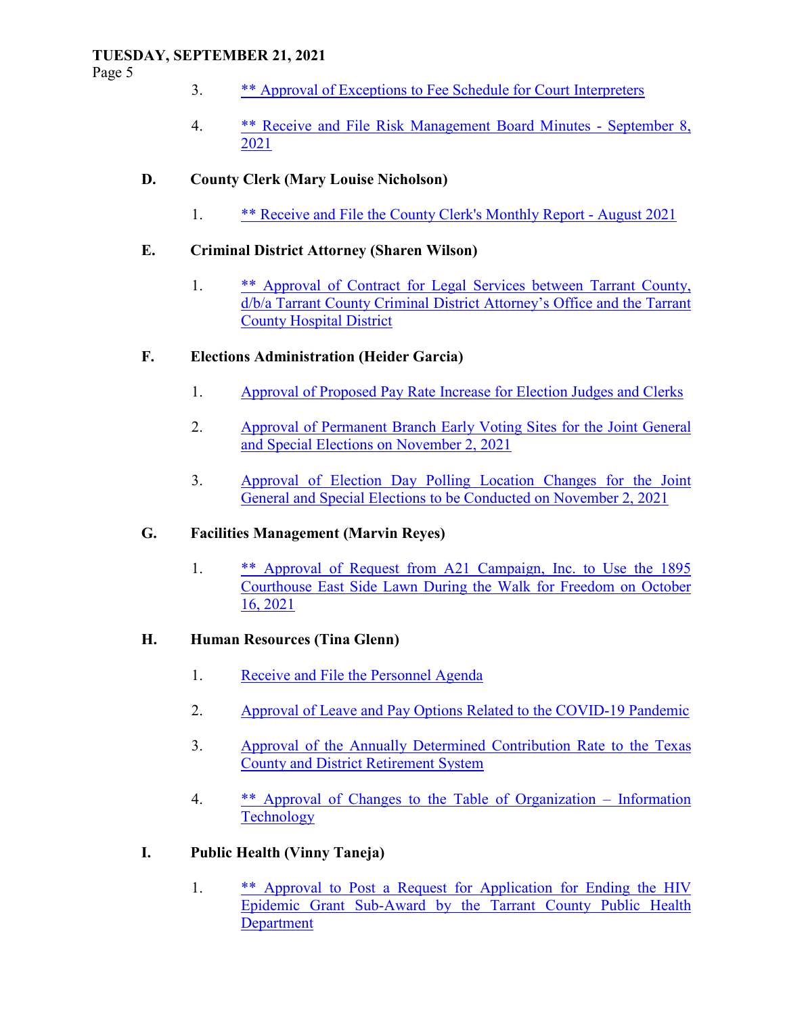Page 5

- 3. \*\* Approval of Exceptions to Fee Schedule for Court Interpreters
- 4. \*\* Receive and File Risk Management Board Minutes September 8, 2021

### **D. County Clerk (Mary Louise Nicholson)**

1. \*\* Receive and File the County Clerk's Monthly Report - August 2021

### **E. Criminal District Attorney (Sharen Wilson)**

 1. \*\* Approval of Contract for Legal Services between Tarrant County, d/b/a Tarrant County Criminal District Attorney's Office and the Tarrant County Hospital District

### **F. Elections Administration (Heider Garcia)**

- 1. Approval of Proposed Pay Rate Increase for Election Judges and Clerks
- 2. Approval of Permanent Branch Early Voting Sites for the Joint General and Special Elections on November 2, 2021
- 3. Approval of Election Day Polling Location Changes for the Joint General and Special Elections to be Conducted on November 2, 2021

### **G. Facilities Management (Marvin Reyes)**

 1. \*\* Approval of Request from A21 Campaign, Inc. to Use the 1895 Courthouse East Side Lawn During the Walk for Freedom on October 16, 2021

### **H. Human Resources (Tina Glenn)**

- 1. Receive and File the Personnel Agenda
- 2. Approval of Leave and Pay Options Related to the COVID-19 Pandemic
- 3. Approval of the Annually Determined Contribution Rate to the Texas County and District Retirement System
- 4. \*\* Approval of Changes to the Table of Organization Information **Technology**

# **I. Public Health (Vinny Taneja)**

1. \*\* Approval to Post a Request for Application for Ending the HIV Epidemic Grant Sub-Award by the Tarrant County Public Health Department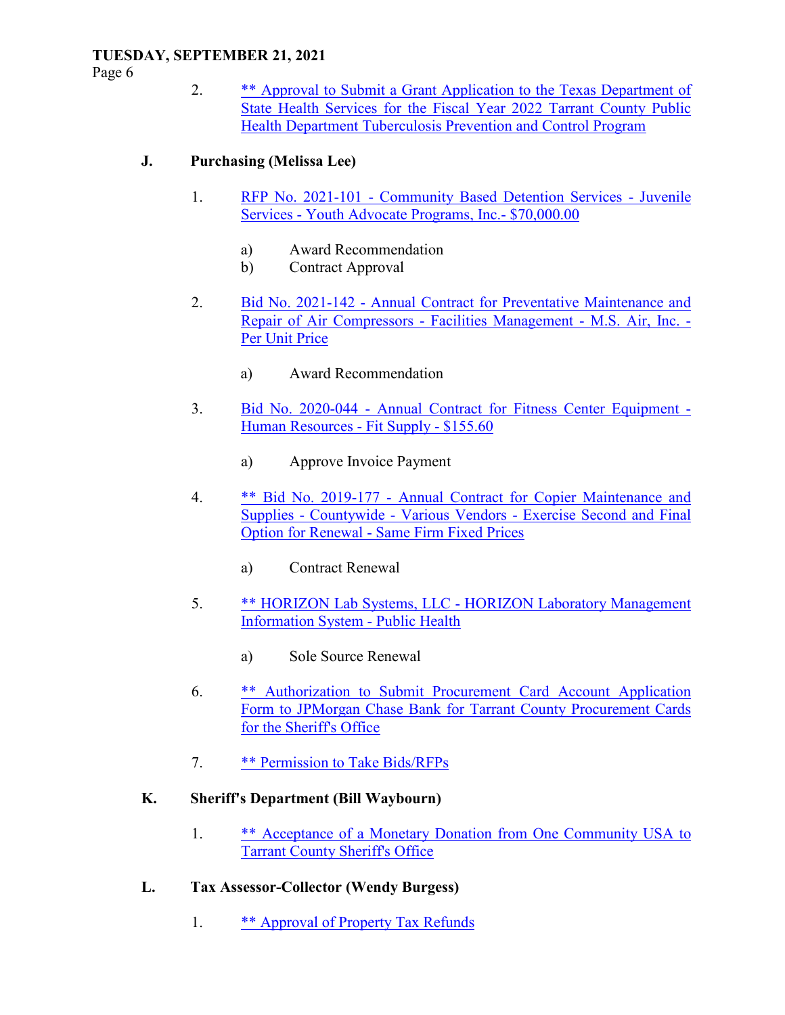Page 6

 2. \*\* Approval to Submit a Grant Application to the Texas Department of State Health Services for the Fiscal Year 2022 Tarrant County Public Health Department Tuberculosis Prevention and Control Program

# **J. Purchasing (Melissa Lee)**

- 1. RFP No. 2021-101 Community Based Detention Services Juvenile Services - Youth Advocate Programs, Inc.- \$70,000.00
	- a) Award Recommendation
	- b) Contract Approval
- 2. Bid No. 2021-142 Annual Contract for Preventative Maintenance and Repair of Air Compressors - Facilities Management - M.S. Air, Inc. - Per Unit Price
	- a) Award Recommendation
- 3. Bid No. 2020-044 Annual Contract for Fitness Center Equipment Human Resources - Fit Supply - \$155.60
	- a) Approve Invoice Payment
- 4. \*\* Bid No. 2019-177 Annual Contract for Copier Maintenance and Supplies - Countywide - Various Vendors - Exercise Second and Final Option for Renewal - Same Firm Fixed Prices
	- a) Contract Renewal
- 5. \*\* HORIZON Lab Systems, LLC HORIZON Laboratory Management Information System - Public Health
	- a) Sole Source Renewal
- 6. \*\* Authorization to Submit Procurement Card Account Application Form to JPMorgan Chase Bank for Tarrant County Procurement Cards for the Sheriff's Office
- 7. \*\* Permission to Take Bids/RFPs

# **K. Sheriff's Department (Bill Waybourn)**

- 1. \*\* Acceptance of a Monetary Donation from One Community USA to Tarrant County Sheriff's Office
- **L. Tax Assessor-Collector (Wendy Burgess)** 
	- 1. \*\* Approval of Property Tax Refunds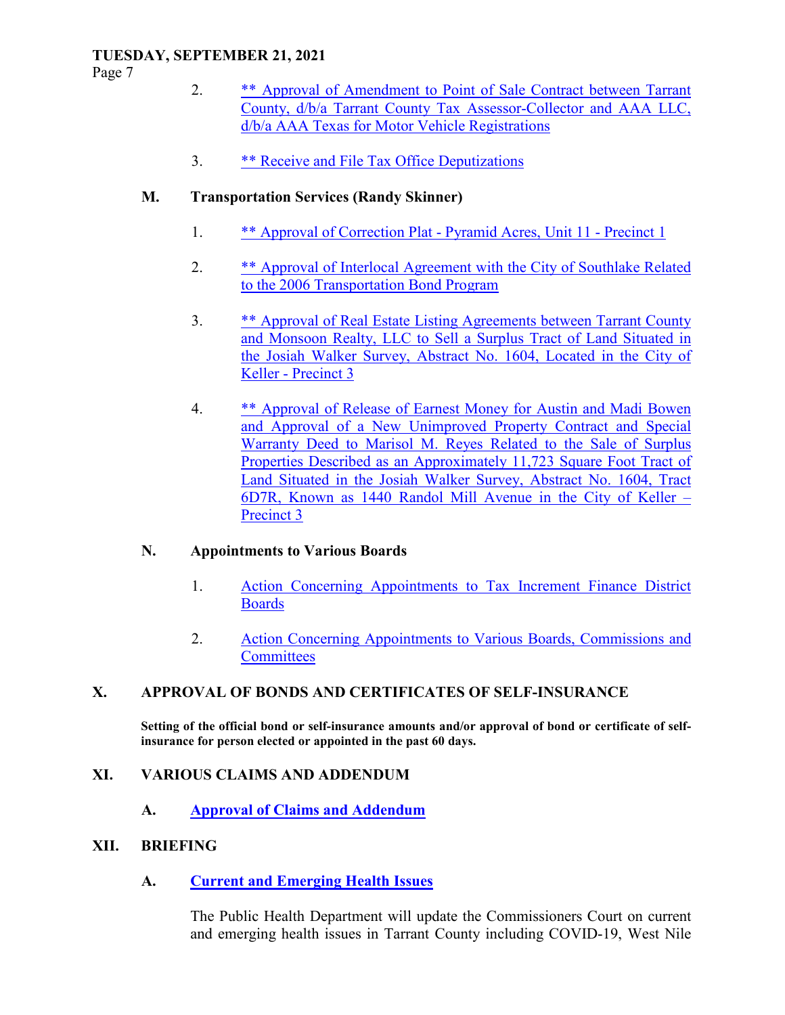Page 7

- 2. \*\* Approval of Amendment to Point of Sale Contract between Tarrant County, d/b/a Tarrant County Tax Assessor-Collector and AAA LLC, d/b/a AAA Texas for Motor Vehicle Registrations
- 3. \*\* Receive and File Tax Office Deputizations

# **M. Transportation Services (Randy Skinner)**

- 1. \*\* Approval of Correction Plat Pyramid Acres, Unit 11 Precinct 1
- 2. \*\* Approval of Interlocal Agreement with the City of Southlake Related to the 2006 Transportation Bond Program
- 3. \*\* Approval of Real Estate Listing Agreements between Tarrant County and Monsoon Realty, LLC to Sell a Surplus Tract of Land Situated in the Josiah Walker Survey, Abstract No. 1604, Located in the City of Keller - Precinct 3
- 4. \*\* Approval of Release of Earnest Money for Austin and Madi Bowen and Approval of a New Unimproved Property Contract and Special Warranty Deed to Marisol M. Reyes Related to the Sale of Surplus Properties Described as an Approximately 11,723 Square Foot Tract of Land Situated in the Josiah Walker Survey, Abstract No. 1604, Tract 6D7R, Known as 1440 Randol Mill Avenue in the City of Keller – Precinct 3

# **N. Appointments to Various Boards**

- 1. Action Concerning Appointments to Tax Increment Finance District **Boards**
- 2. Action Concerning Appointments to Various Boards, Commissions and **Committees**

# **X. APPROVAL OF BONDS AND CERTIFICATES OF SELF-INSURANCE**

**Setting of the official bond or self-insurance amounts and/or approval of bond or certificate of selfinsurance for person elected or appointed in the past 60 days.** 

### **XI. VARIOUS CLAIMS AND ADDENDUM**

 **A. Approval of Claims and Addendum**

### **XII. BRIEFING**

 **A. Current and Emerging Health Issues**

The Public Health Department will update the Commissioners Court on current and emerging health issues in Tarrant County including COVID-19, West Nile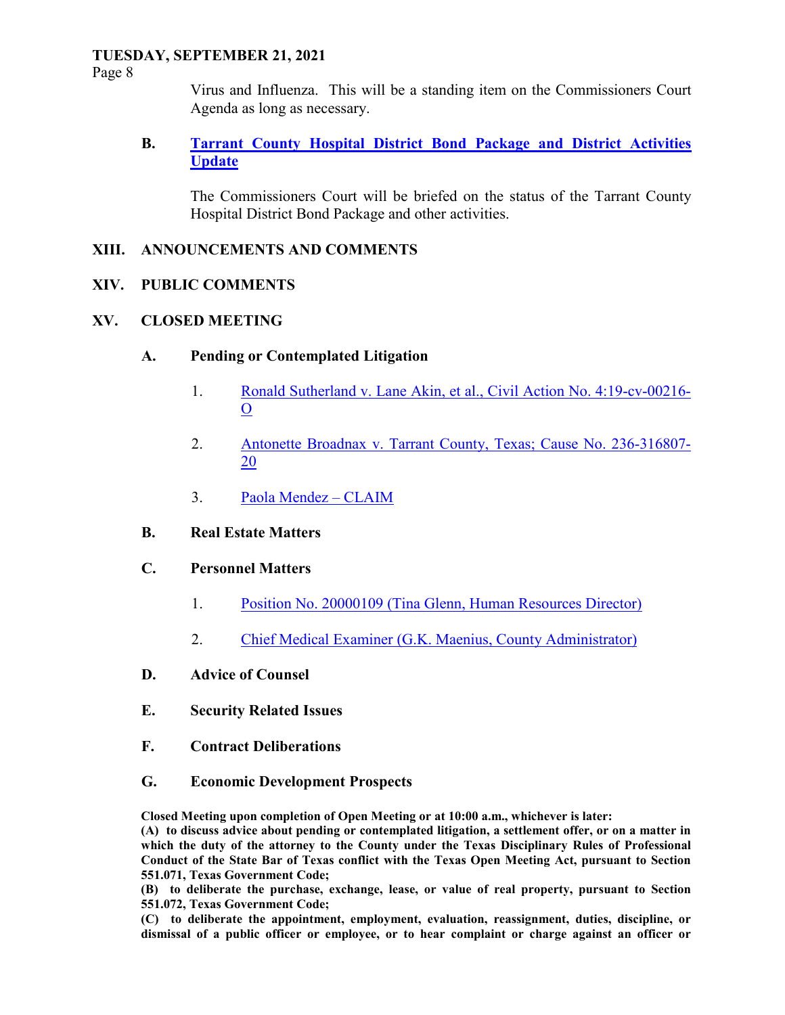Page 8

Virus and Influenza. This will be a standing item on the Commissioners Court Agenda as long as necessary.

### **B. Tarrant County Hospital District Bond Package and District Activities Update**

The Commissioners Court will be briefed on the status of the Tarrant County Hospital District Bond Package and other activities.

### **XIII. ANNOUNCEMENTS AND COMMENTS**

### **XIV. PUBLIC COMMENTS**

### **XV. CLOSED MEETING**

- **A. Pending or Contemplated Litigation** 
	- 1. Ronald Sutherland v. Lane Akin, et al., Civil Action No. 4:19-cv-00216- O
	- 2. Antonette Broadnax v. Tarrant County, Texas; Cause No. 236-316807- 20
	- 3. Paola Mendez CLAIM
- **B. Real Estate Matters**

#### **C. Personnel Matters**

- 1. Position No. 20000109 (Tina Glenn, Human Resources Director)
- 2. Chief Medical Examiner (G.K. Maenius, County Administrator)
- **D. Advice of Counsel**
- **E. Security Related Issues**
- **F. Contract Deliberations**
- **G. Economic Development Prospects**

**Closed Meeting upon completion of Open Meeting or at 10:00 a.m., whichever is later:** 

**(A) to discuss advice about pending or contemplated litigation, a settlement offer, or on a matter in which the duty of the attorney to the County under the Texas Disciplinary Rules of Professional Conduct of the State Bar of Texas conflict with the Texas Open Meeting Act, pursuant to Section 551.071, Texas Government Code;** 

**(B) to deliberate the purchase, exchange, lease, or value of real property, pursuant to Section 551.072, Texas Government Code;** 

**(C) to deliberate the appointment, employment, evaluation, reassignment, duties, discipline, or dismissal of a public officer or employee, or to hear complaint or charge against an officer or**